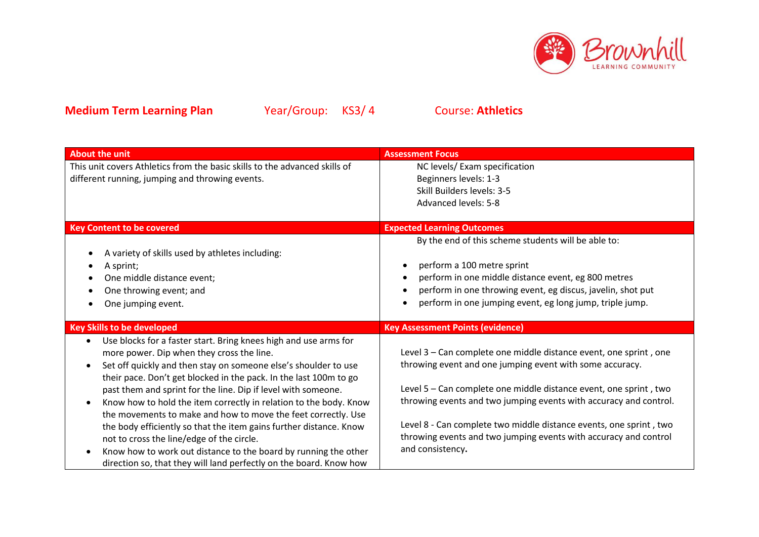

| <b>About the unit</b>                                                        | <b>Assessment Focus</b>                                            |
|------------------------------------------------------------------------------|--------------------------------------------------------------------|
| This unit covers Athletics from the basic skills to the advanced skills of   | NC levels/ Exam specification                                      |
| different running, jumping and throwing events.                              | Beginners levels: 1-3                                              |
|                                                                              | Skill Builders levels: 3-5                                         |
|                                                                              | Advanced levels: 5-8                                               |
|                                                                              |                                                                    |
| <b>Key Content to be covered</b>                                             | <b>Expected Learning Outcomes</b>                                  |
|                                                                              | By the end of this scheme students will be able to:                |
| A variety of skills used by athletes including:                              |                                                                    |
| A sprint;                                                                    | perform a 100 metre sprint                                         |
| One middle distance event;                                                   | perform in one middle distance event, eg 800 metres                |
| One throwing event; and                                                      | perform in one throwing event, eg discus, javelin, shot put        |
| One jumping event.                                                           | perform in one jumping event, eg long jump, triple jump.           |
|                                                                              |                                                                    |
| <b>Key Skills to be developed</b>                                            | <b>Key Assessment Points (evidence)</b>                            |
| Use blocks for a faster start. Bring knees high and use arms for             |                                                                    |
| more power. Dip when they cross the line.                                    | Level 3 - Can complete one middle distance event, one sprint, one  |
| Set off quickly and then stay on someone else's shoulder to use<br>$\bullet$ | throwing event and one jumping event with some accuracy.           |
| their pace. Don't get blocked in the pack. In the last 100m to go            |                                                                    |
|                                                                              |                                                                    |
| past them and sprint for the line. Dip if level with someone.                | Level 5 - Can complete one middle distance event, one sprint, two  |
| Know how to hold the item correctly in relation to the body. Know            | throwing events and two jumping events with accuracy and control.  |
| the movements to make and how to move the feet correctly. Use                |                                                                    |
| the body efficiently so that the item gains further distance. Know           | Level 8 - Can complete two middle distance events, one sprint, two |
| not to cross the line/edge of the circle.                                    | throwing events and two jumping events with accuracy and control   |
| Know how to work out distance to the board by running the other              | and consistency.                                                   |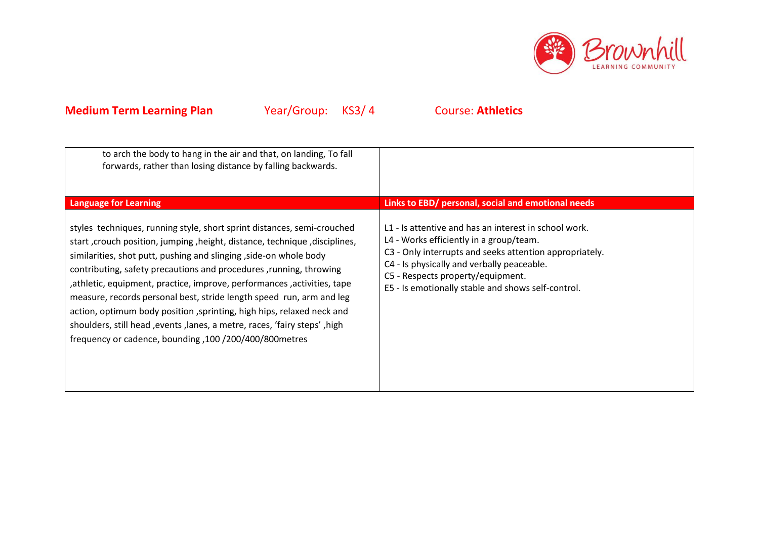

| to arch the body to hang in the air and that, on landing, To fall<br>forwards, rather than losing distance by falling backwards.                                                                                                                                                                                                                                                                                                                                                                                                                                                                                                                                                                        |                                                                                                                                                                                                                                                                                                                                                            |
|---------------------------------------------------------------------------------------------------------------------------------------------------------------------------------------------------------------------------------------------------------------------------------------------------------------------------------------------------------------------------------------------------------------------------------------------------------------------------------------------------------------------------------------------------------------------------------------------------------------------------------------------------------------------------------------------------------|------------------------------------------------------------------------------------------------------------------------------------------------------------------------------------------------------------------------------------------------------------------------------------------------------------------------------------------------------------|
| <b>Language for Learning</b><br>styles techniques, running style, short sprint distances, semi-crouched<br>start, crouch position, jumping, height, distance, technique, disciplines,<br>similarities, shot putt, pushing and slinging, side-on whole body<br>contributing, safety precautions and procedures , running, throwing<br>, athletic, equipment, practice, improve, performances, activities, tape<br>measure, records personal best, stride length speed run, arm and leg<br>action, optimum body position, sprinting, high hips, relaxed neck and<br>shoulders, still head , events, lanes, a metre, races, 'fairy steps', high<br>frequency or cadence, bounding, 100 /200/400/800 metres | Links to EBD/ personal, social and emotional needs<br>L1 - Is attentive and has an interest in school work.<br>L4 - Works efficiently in a group/team.<br>C3 - Only interrupts and seeks attention appropriately.<br>C4 - Is physically and verbally peaceable.<br>C5 - Respects property/equipment.<br>E5 - Is emotionally stable and shows self-control. |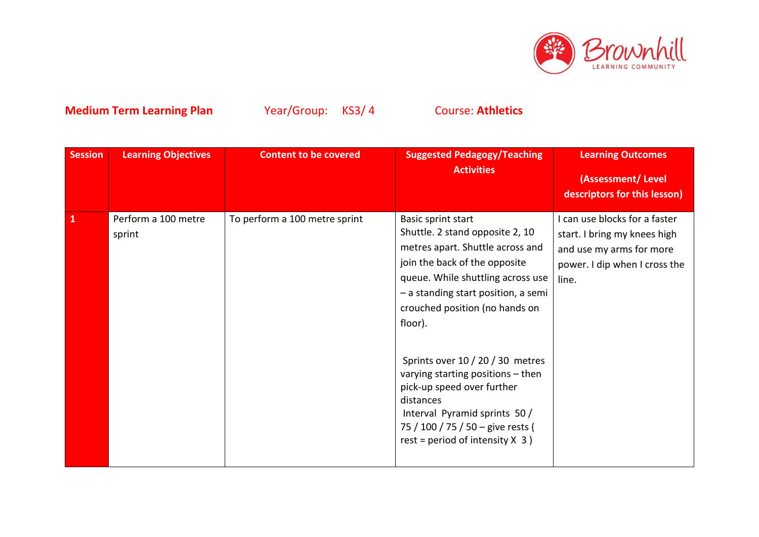

| Session      | <b>Learning Objectives</b>    | <b>Content to be covered</b>  | <b>Suggested Pedagogy/Teaching</b><br><b>Activities</b>                                                                                                                                                                                                                                                                                                                                                                                                                            | <b>Learning Outcomes</b><br>(Assessment/Level<br>descriptors for this lesson)                                                       |
|--------------|-------------------------------|-------------------------------|------------------------------------------------------------------------------------------------------------------------------------------------------------------------------------------------------------------------------------------------------------------------------------------------------------------------------------------------------------------------------------------------------------------------------------------------------------------------------------|-------------------------------------------------------------------------------------------------------------------------------------|
| $\mathbf{1}$ | Perform a 100 metre<br>sprint | To perform a 100 metre sprint | Basic sprint start<br>Shuttle. 2 stand opposite 2, 10<br>metres apart. Shuttle across and<br>join the back of the opposite<br>queue. While shuttling across use<br>- a standing start position, a semi<br>crouched position (no hands on<br>floor).<br>Sprints over 10 / 20 / 30 metres<br>varying starting positions - then<br>pick-up speed over further<br>distances<br>Interval Pyramid sprints 50 /<br>75 / 100 / 75 / 50 - give rests (<br>rest = period of intensity $X$ 3) | I can use blocks for a faster<br>start. I bring my knees high<br>and use my arms for more<br>power. I dip when I cross the<br>line. |
|              |                               |                               |                                                                                                                                                                                                                                                                                                                                                                                                                                                                                    |                                                                                                                                     |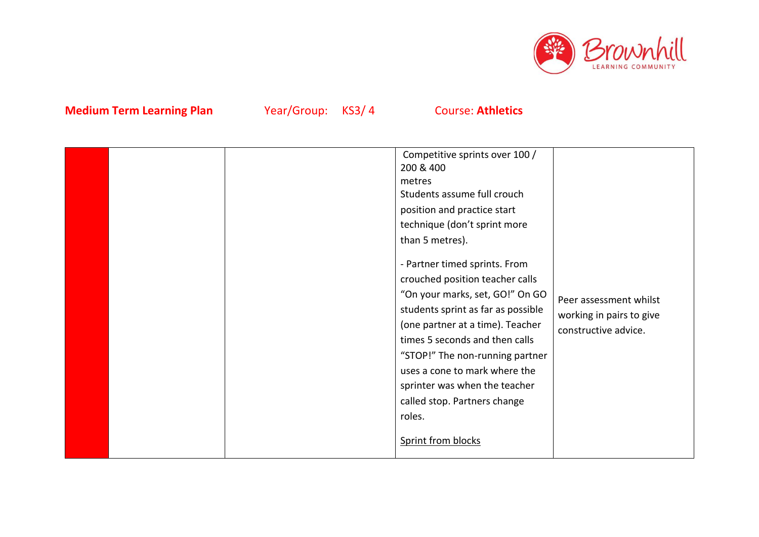

|  |  |  | Competitive sprints over 100 /<br>200 & 400<br>metres<br>Students assume full crouch<br>position and practice start<br>technique (don't sprint more<br>than 5 metres).<br>- Partner timed sprints. From<br>crouched position teacher calls<br>"On your marks, set, GO!" On GO<br>students sprint as far as possible<br>(one partner at a time). Teacher<br>times 5 seconds and then calls<br>"STOP!" The non-running partner<br>uses a cone to mark where the<br>sprinter was when the teacher<br>called stop. Partners change<br>roles.<br>Sprint from blocks | Peer assessment whilst<br>working in pairs to give<br>constructive advice. |
|--|--|--|----------------------------------------------------------------------------------------------------------------------------------------------------------------------------------------------------------------------------------------------------------------------------------------------------------------------------------------------------------------------------------------------------------------------------------------------------------------------------------------------------------------------------------------------------------------|----------------------------------------------------------------------------|
|--|--|--|----------------------------------------------------------------------------------------------------------------------------------------------------------------------------------------------------------------------------------------------------------------------------------------------------------------------------------------------------------------------------------------------------------------------------------------------------------------------------------------------------------------------------------------------------------------|----------------------------------------------------------------------------|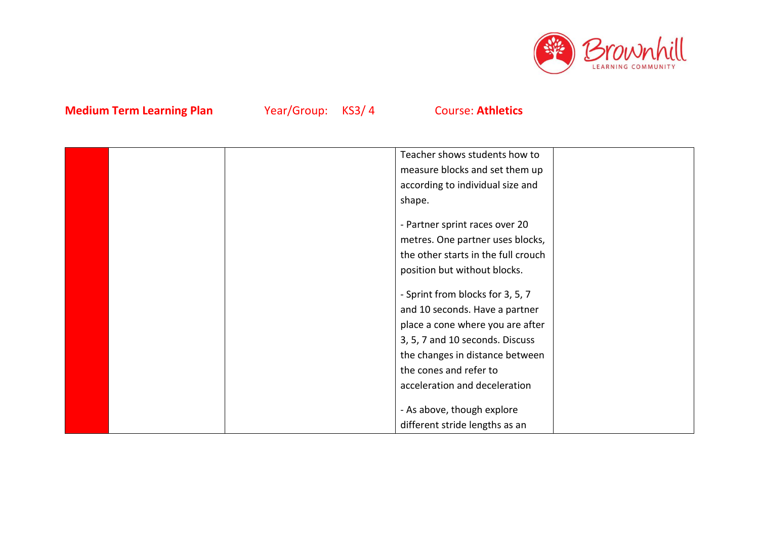

|  | Teacher shows students how to       |  |
|--|-------------------------------------|--|
|  | measure blocks and set them up      |  |
|  | according to individual size and    |  |
|  | shape.                              |  |
|  |                                     |  |
|  | - Partner sprint races over 20      |  |
|  | metres. One partner uses blocks,    |  |
|  | the other starts in the full crouch |  |
|  | position but without blocks.        |  |
|  |                                     |  |
|  | - Sprint from blocks for 3, 5, 7    |  |
|  | and 10 seconds. Have a partner      |  |
|  | place a cone where you are after    |  |
|  | 3, 5, 7 and 10 seconds. Discuss     |  |
|  | the changes in distance between     |  |
|  | the cones and refer to              |  |
|  | acceleration and deceleration       |  |
|  |                                     |  |
|  | - As above, though explore          |  |
|  | different stride lengths as an      |  |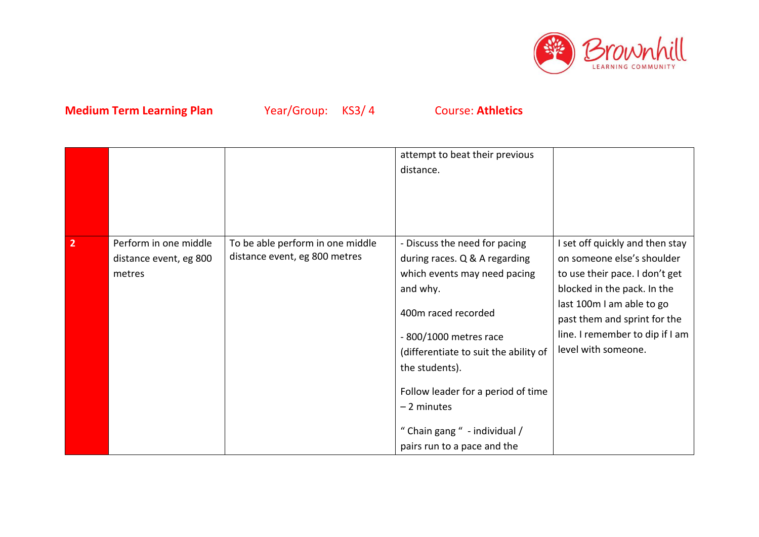

|                |                                                           |                                                                   | attempt to beat their previous<br>distance.                                                                                                                                                                                                                                                                                                   |                                                                                                                                                                                                                                                       |
|----------------|-----------------------------------------------------------|-------------------------------------------------------------------|-----------------------------------------------------------------------------------------------------------------------------------------------------------------------------------------------------------------------------------------------------------------------------------------------------------------------------------------------|-------------------------------------------------------------------------------------------------------------------------------------------------------------------------------------------------------------------------------------------------------|
| $\overline{2}$ | Perform in one middle<br>distance event, eg 800<br>metres | To be able perform in one middle<br>distance event, eg 800 metres | - Discuss the need for pacing<br>during races. Q & A regarding<br>which events may need pacing<br>and why.<br>400m raced recorded<br>$-800/1000$ metres race<br>(differentiate to suit the ability of<br>the students).<br>Follow leader for a period of time<br>$-2$ minutes<br>" Chain gang " - individual /<br>pairs run to a pace and the | I set off quickly and then stay<br>on someone else's shoulder<br>to use their pace. I don't get<br>blocked in the pack. In the<br>last 100m I am able to go<br>past them and sprint for the<br>line. I remember to dip if I am<br>level with someone. |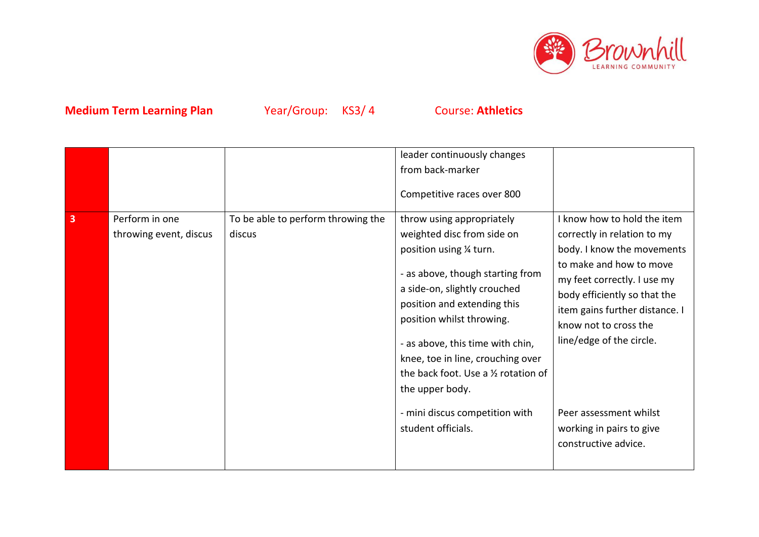

|   |                                          |                                              | leader continuously changes<br>from back-marker<br>Competitive races over 800                                                                                                                                                                                                                                                                                                                                   |                                                                                                                                                                                                                                                                                                                                                         |
|---|------------------------------------------|----------------------------------------------|-----------------------------------------------------------------------------------------------------------------------------------------------------------------------------------------------------------------------------------------------------------------------------------------------------------------------------------------------------------------------------------------------------------------|---------------------------------------------------------------------------------------------------------------------------------------------------------------------------------------------------------------------------------------------------------------------------------------------------------------------------------------------------------|
| 3 | Perform in one<br>throwing event, discus | To be able to perform throwing the<br>discus | throw using appropriately<br>weighted disc from side on<br>position using 1/4 turn.<br>- as above, though starting from<br>a side-on, slightly crouched<br>position and extending this<br>position whilst throwing.<br>- as above, this time with chin,<br>knee, toe in line, crouching over<br>the back foot. Use a 1/2 rotation of<br>the upper body.<br>- mini discus competition with<br>student officials. | I know how to hold the item<br>correctly in relation to my<br>body. I know the movements<br>to make and how to move<br>my feet correctly. I use my<br>body efficiently so that the<br>item gains further distance. I<br>know not to cross the<br>line/edge of the circle.<br>Peer assessment whilst<br>working in pairs to give<br>constructive advice. |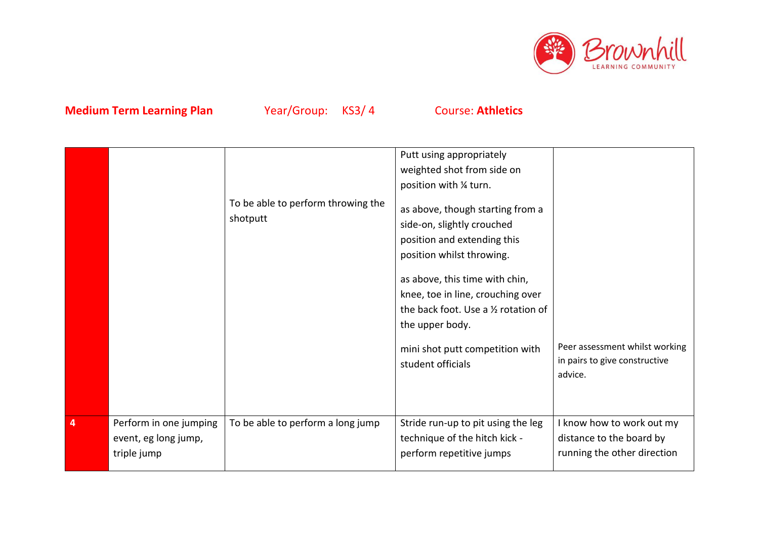

|                         |                                                               | To be able to perform throwing the<br>shotputt | Putt using appropriately<br>weighted shot from side on<br>position with 1/4 turn.<br>as above, though starting from a<br>side-on, slightly crouched<br>position and extending this<br>position whilst throwing.<br>as above, this time with chin,<br>knee, toe in line, crouching over<br>the back foot. Use a 1/2 rotation of<br>the upper body.<br>mini shot putt competition with<br>student officials | Peer assessment whilst working<br>in pairs to give constructive<br>advice.           |
|-------------------------|---------------------------------------------------------------|------------------------------------------------|-----------------------------------------------------------------------------------------------------------------------------------------------------------------------------------------------------------------------------------------------------------------------------------------------------------------------------------------------------------------------------------------------------------|--------------------------------------------------------------------------------------|
| $\overline{\mathbf{4}}$ | Perform in one jumping<br>event, eg long jump,<br>triple jump | To be able to perform a long jump              | Stride run-up to pit using the leg<br>technique of the hitch kick -<br>perform repetitive jumps                                                                                                                                                                                                                                                                                                           | I know how to work out my<br>distance to the board by<br>running the other direction |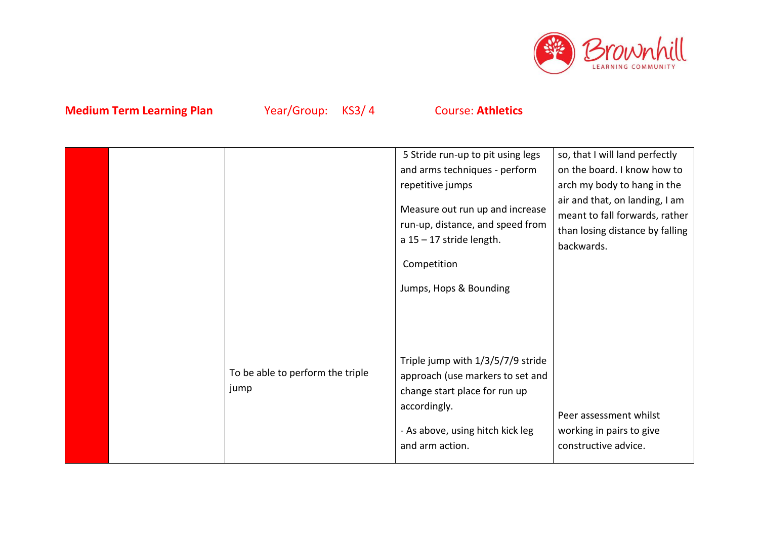

|  |                                          | 5 Stride run-up to pit using legs<br>and arms techniques - perform<br>repetitive jumps<br>Measure out run up and increase<br>run-up, distance, and speed from<br>$a 15 - 17$ stride length.<br>Competition<br>Jumps, Hops & Bounding | so, that I will land perfectly<br>on the board. I know how to<br>arch my body to hang in the<br>air and that, on landing, I am<br>meant to fall forwards, rather<br>than losing distance by falling<br>backwards. |
|--|------------------------------------------|--------------------------------------------------------------------------------------------------------------------------------------------------------------------------------------------------------------------------------------|-------------------------------------------------------------------------------------------------------------------------------------------------------------------------------------------------------------------|
|  | To be able to perform the triple<br>jump | Triple jump with 1/3/5/7/9 stride<br>approach (use markers to set and<br>change start place for run up<br>accordingly.<br>- As above, using hitch kick leg<br>and arm action.                                                        | Peer assessment whilst<br>working in pairs to give<br>constructive advice.                                                                                                                                        |